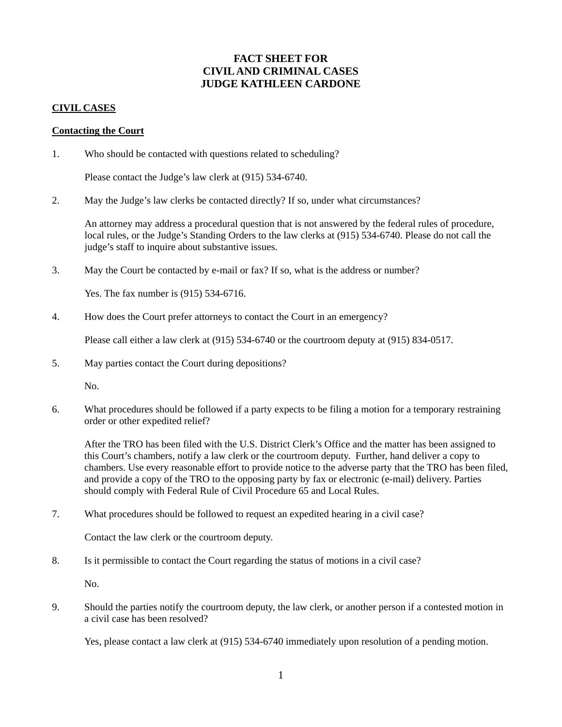# **FACT SHEET FOR CIVIL AND CRIMINAL CASES JUDGE KATHLEEN CARDONE**

# **CIVIL CASES**

### **Contacting the Court**

1. Who should be contacted with questions related to scheduling?

Please contact the Judge's law clerk at (915) 534-6740.

2. May the Judge's law clerks be contacted directly? If so, under what circumstances?

An attorney may address a procedural question that is not answered by the federal rules of procedure, local rules, or the Judge's Standing Orders to the law clerks at (915) 534-6740. Please do not call the judge's staff to inquire about substantive issues.

3. May the Court be contacted by e-mail or fax? If so, what is the address or number?

Yes. The fax number is (915) 534-6716.

4. How does the Court prefer attorneys to contact the Court in an emergency?

Please call either a law clerk at (915) 534-6740 or the courtroom deputy at (915) 834-0517.

5. May parties contact the Court during depositions?

No.

6. What procedures should be followed if a party expects to be filing a motion for a temporary restraining order or other expedited relief?

After the TRO has been filed with the U.S. District Clerk's Office and the matter has been assigned to this Court's chambers, notify a law clerk or the courtroom deputy. Further, hand deliver a copy to chambers. Use every reasonable effort to provide notice to the adverse party that the TRO has been filed, and provide a copy of the TRO to the opposing party by fax or electronic (e-mail) delivery. Parties should comply with Federal Rule of Civil Procedure 65 and Local Rules.

7. What procedures should be followed to request an expedited hearing in a civil case?

Contact the law clerk or the courtroom deputy.

8. Is it permissible to contact the Court regarding the status of motions in a civil case?

No.

9. Should the parties notify the courtroom deputy, the law clerk, or another person if a contested motion in a civil case has been resolved?

Yes, please contact a law clerk at (915) 534-6740 immediately upon resolution of a pending motion.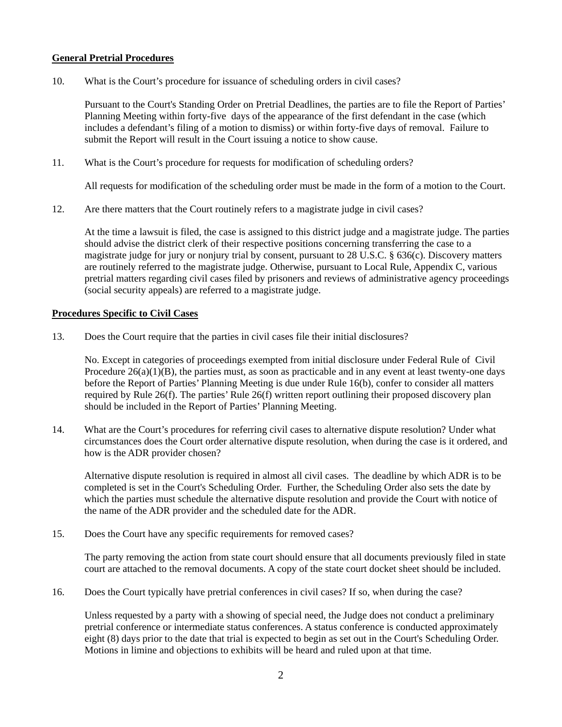# **General Pretrial Procedures**

10. What is the Court's procedure for issuance of scheduling orders in civil cases?

Pursuant to the Court's Standing Order on Pretrial Deadlines, the parties are to file the Report of Parties' Planning Meeting within forty-five days of the appearance of the first defendant in the case (which includes a defendant's filing of a motion to dismiss) or within forty-five days of removal. Failure to submit the Report will result in the Court issuing a notice to show cause.

11. What is the Court's procedure for requests for modification of scheduling orders?

All requests for modification of the scheduling order must be made in the form of a motion to the Court.

12. Are there matters that the Court routinely refers to a magistrate judge in civil cases?

At the time a lawsuit is filed, the case is assigned to this district judge and a magistrate judge. The parties should advise the district clerk of their respective positions concerning transferring the case to a magistrate judge for jury or nonjury trial by consent, pursuant to 28 U.S.C. § 636(c). Discovery matters are routinely referred to the magistrate judge. Otherwise, pursuant to Local Rule, Appendix C, various pretrial matters regarding civil cases filed by prisoners and reviews of administrative agency proceedings (social security appeals) are referred to a magistrate judge.

# **Procedures Specific to Civil Cases**

13. Does the Court require that the parties in civil cases file their initial disclosures?

No. Except in categories of proceedings exempted from initial disclosure under Federal Rule of Civil Procedure  $26(a)(1)(B)$ , the parties must, as soon as practicable and in any event at least twenty-one days before the Report of Parties' Planning Meeting is due under Rule 16(b), confer to consider all matters required by Rule 26(f). The parties' Rule 26(f) written report outlining their proposed discovery plan should be included in the Report of Parties' Planning Meeting.

14. What are the Court's procedures for referring civil cases to alternative dispute resolution? Under what circumstances does the Court order alternative dispute resolution, when during the case is it ordered, and how is the ADR provider chosen?

Alternative dispute resolution is required in almost all civil cases. The deadline by which ADR is to be completed is set in the Court's Scheduling Order. Further, the Scheduling Order also sets the date by which the parties must schedule the alternative dispute resolution and provide the Court with notice of the name of the ADR provider and the scheduled date for the ADR.

15. Does the Court have any specific requirements for removed cases?

The party removing the action from state court should ensure that all documents previously filed in state court are attached to the removal documents. A copy of the state court docket sheet should be included.

16. Does the Court typically have pretrial conferences in civil cases? If so, when during the case?

Unless requested by a party with a showing of special need, the Judge does not conduct a preliminary pretrial conference or intermediate status conferences. A status conference is conducted approximately eight (8) days prior to the date that trial is expected to begin as set out in the Court's Scheduling Order. Motions in limine and objections to exhibits will be heard and ruled upon at that time.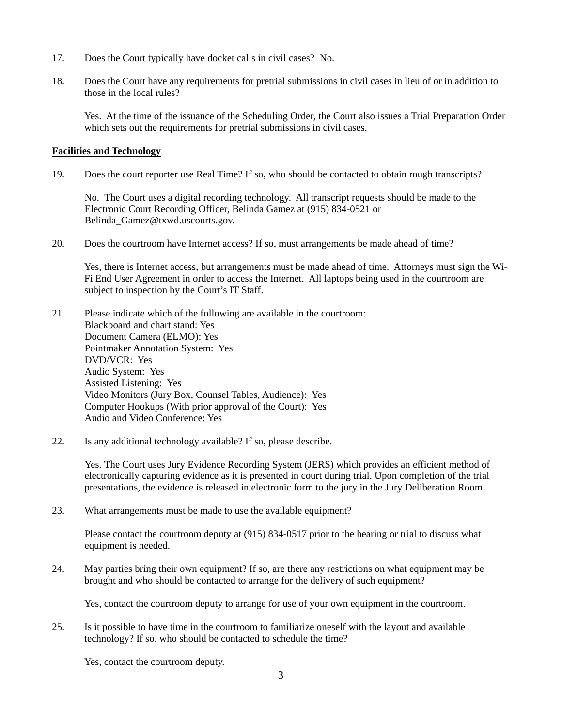- 17. Does the Court typically have docket calls in civil cases? No.
- 18. Does the Court have any requirements for pretrial submissions in civil cases in lieu of or in addition to those in the local rules?

Yes. At the time of the issuance of the Scheduling Order, the Court also issues a Trial Preparation Order which sets out the requirements for pretrial submissions in civil cases.

# **Facilities and Technology**

19. Does the court reporter use Real Time? If so, who should be contacted to obtain rough transcripts?

No. The Court uses a digital recording technology. All transcript requests should be made to the Electronic Court Recording Officer, Belinda Gamez at (915) 834-0521 or Belinda\_Gamez@txwd.uscourts.gov.

20. Does the courtroom have Internet access? If so, must arrangements be made ahead of time?

Yes, there is Internet access, but arrangements must be made ahead of time. Attorneys must sign the Wi-Fi End User Agreement in order to access the Internet. All laptops being used in the courtroom are subject to inspection by the Court's IT Staff.

- 21. Please indicate which of the following are available in the courtroom: Blackboard and chart stand: Yes Document Camera (ELMO): Yes Pointmaker Annotation System: Yes DVD/VCR: Yes Audio System: Yes Assisted Listening: Yes Video Monitors (Jury Box, Counsel Tables, Audience): Yes Computer Hookups (With prior approval of the Court): Yes Audio and Video Conference: Yes
- 22. Is any additional technology available? If so, please describe.

Yes. The Court uses Jury Evidence Recording System (JERS) which provides an efficient method of electronically capturing evidence as it is presented in court during trial. Upon completion of the trial presentations, the evidence is released in electronic form to the jury in the Jury Deliberation Room.

23. What arrangements must be made to use the available equipment?

Please contact the courtroom deputy at (915) 834-0517 prior to the hearing or trial to discuss what equipment is needed.

24. May parties bring their own equipment? If so, are there any restrictions on what equipment may be brought and who should be contacted to arrange for the delivery of such equipment?

Yes, contact the courtroom deputy to arrange for use of your own equipment in the courtroom.

25. Is it possible to have time in the courtroom to familiarize oneself with the layout and available technology? If so, who should be contacted to schedule the time?

Yes, contact the courtroom deputy.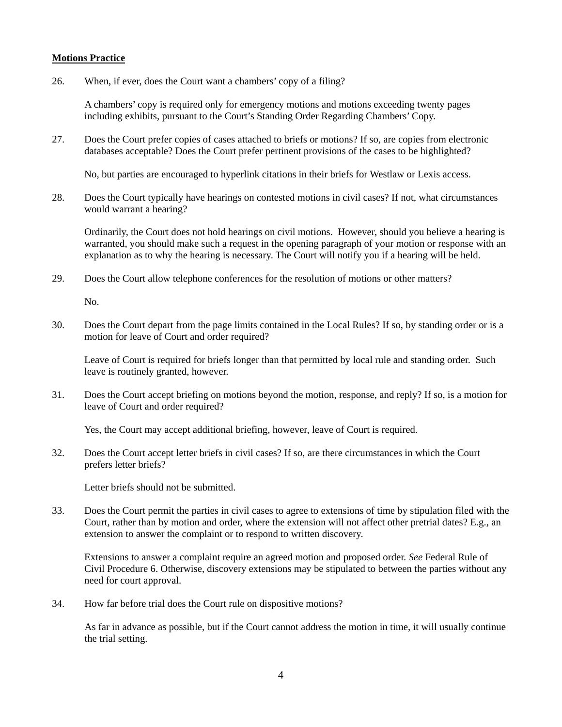# **Motions Practice**

26. When, if ever, does the Court want a chambers' copy of a filing?

A chambers' copy is required only for emergency motions and motions exceeding twenty pages including exhibits, pursuant to the Court's Standing Order Regarding Chambers' Copy.

27. Does the Court prefer copies of cases attached to briefs or motions? If so, are copies from electronic databases acceptable? Does the Court prefer pertinent provisions of the cases to be highlighted?

No, but parties are encouraged to hyperlink citations in their briefs for Westlaw or Lexis access.

28. Does the Court typically have hearings on contested motions in civil cases? If not, what circumstances would warrant a hearing?

Ordinarily, the Court does not hold hearings on civil motions. However, should you believe a hearing is warranted, you should make such a request in the opening paragraph of your motion or response with an explanation as to why the hearing is necessary. The Court will notify you if a hearing will be held.

29. Does the Court allow telephone conferences for the resolution of motions or other matters?

No.

30. Does the Court depart from the page limits contained in the Local Rules? If so, by standing order or is a motion for leave of Court and order required?

Leave of Court is required for briefs longer than that permitted by local rule and standing order. Such leave is routinely granted, however.

31. Does the Court accept briefing on motions beyond the motion, response, and reply? If so, is a motion for leave of Court and order required?

Yes, the Court may accept additional briefing, however, leave of Court is required.

32. Does the Court accept letter briefs in civil cases? If so, are there circumstances in which the Court prefers letter briefs?

Letter briefs should not be submitted.

33. Does the Court permit the parties in civil cases to agree to extensions of time by stipulation filed with the Court, rather than by motion and order, where the extension will not affect other pretrial dates? E.g., an extension to answer the complaint or to respond to written discovery.

Extensions to answer a complaint require an agreed motion and proposed order. *See* Federal Rule of Civil Procedure 6. Otherwise, discovery extensions may be stipulated to between the parties without any need for court approval.

34. How far before trial does the Court rule on dispositive motions?

As far in advance as possible, but if the Court cannot address the motion in time, it will usually continue the trial setting.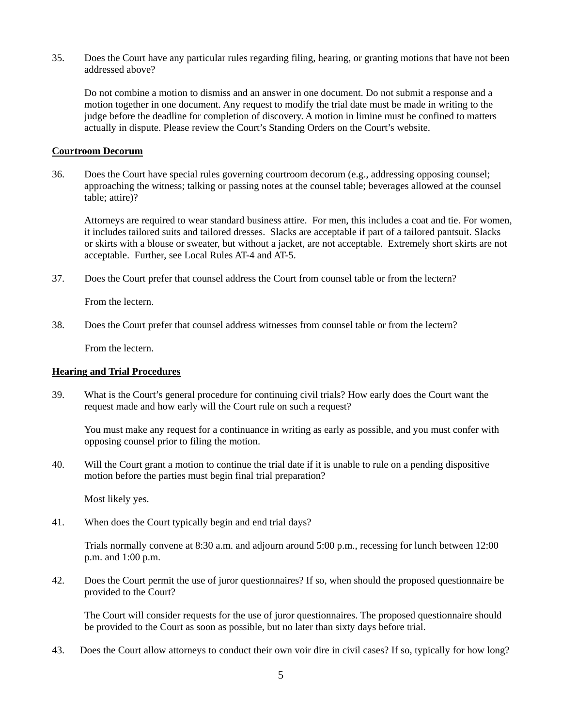35. Does the Court have any particular rules regarding filing, hearing, or granting motions that have not been addressed above?

Do not combine a motion to dismiss and an answer in one document. Do not submit a response and a motion together in one document. Any request to modify the trial date must be made in writing to the judge before the deadline for completion of discovery. A motion in limine must be confined to matters actually in dispute. Please review the Court's Standing Orders on the Court's website.

# **Courtroom Decorum**

36. Does the Court have special rules governing courtroom decorum (e.g., addressing opposing counsel; approaching the witness; talking or passing notes at the counsel table; beverages allowed at the counsel table; attire)?

Attorneys are required to wear standard business attire. For men, this includes a coat and tie. For women, it includes tailored suits and tailored dresses. Slacks are acceptable if part of a tailored pantsuit. Slacks or skirts with a blouse or sweater, but without a jacket, are not acceptable. Extremely short skirts are not acceptable. Further, see Local Rules AT-4 and AT-5.

37. Does the Court prefer that counsel address the Court from counsel table or from the lectern?

From the lectern.

38. Does the Court prefer that counsel address witnesses from counsel table or from the lectern?

From the lectern.

### **Hearing and Trial Procedures**

39. What is the Court's general procedure for continuing civil trials? How early does the Court want the request made and how early will the Court rule on such a request?

You must make any request for a continuance in writing as early as possible, and you must confer with opposing counsel prior to filing the motion.

40. Will the Court grant a motion to continue the trial date if it is unable to rule on a pending dispositive motion before the parties must begin final trial preparation?

Most likely yes.

41. When does the Court typically begin and end trial days?

Trials normally convene at 8:30 a.m. and adjourn around 5:00 p.m., recessing for lunch between 12:00 p.m. and 1:00 p.m.

42. Does the Court permit the use of juror questionnaires? If so, when should the proposed questionnaire be provided to the Court?

The Court will consider requests for the use of juror questionnaires. The proposed questionnaire should be provided to the Court as soon as possible, but no later than sixty days before trial.

43. Does the Court allow attorneys to conduct their own voir dire in civil cases? If so, typically for how long?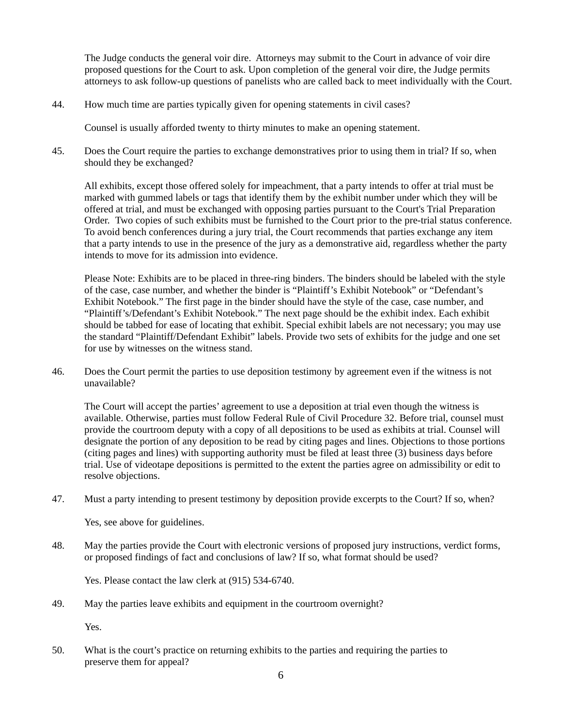The Judge conducts the general voir dire. Attorneys may submit to the Court in advance of voir dire proposed questions for the Court to ask. Upon completion of the general voir dire, the Judge permits attorneys to ask follow-up questions of panelists who are called back to meet individually with the Court.

44. How much time are parties typically given for opening statements in civil cases?

Counsel is usually afforded twenty to thirty minutes to make an opening statement.

45. Does the Court require the parties to exchange demonstratives prior to using them in trial? If so, when should they be exchanged?

All exhibits, except those offered solely for impeachment, that a party intends to offer at trial must be marked with gummed labels or tags that identify them by the exhibit number under which they will be offered at trial, and must be exchanged with opposing parties pursuant to the Court's Trial Preparation Order. Two copies of such exhibits must be furnished to the Court prior to the pre-trial status conference. To avoid bench conferences during a jury trial, the Court recommends that parties exchange any item that a party intends to use in the presence of the jury as a demonstrative aid, regardless whether the party intends to move for its admission into evidence.

Please Note: Exhibits are to be placed in three-ring binders. The binders should be labeled with the style of the case, case number, and whether the binder is "Plaintiff's Exhibit Notebook" or "Defendant's Exhibit Notebook." The first page in the binder should have the style of the case, case number, and "Plaintiff's/Defendant's Exhibit Notebook." The next page should be the exhibit index. Each exhibit should be tabbed for ease of locating that exhibit. Special exhibit labels are not necessary; you may use the standard "Plaintiff/Defendant Exhibit" labels. Provide two sets of exhibits for the judge and one set for use by witnesses on the witness stand.

46. Does the Court permit the parties to use deposition testimony by agreement even if the witness is not unavailable?

The Court will accept the parties' agreement to use a deposition at trial even though the witness is available. Otherwise, parties must follow Federal Rule of Civil Procedure 32. Before trial, counsel must provide the courtroom deputy with a copy of all depositions to be used as exhibits at trial. Counsel will designate the portion of any deposition to be read by citing pages and lines. Objections to those portions (citing pages and lines) with supporting authority must be filed at least three (3) business days before trial. Use of videotape depositions is permitted to the extent the parties agree on admissibility or edit to resolve objections.

47. Must a party intending to present testimony by deposition provide excerpts to the Court? If so, when?

Yes, see above for guidelines.

48. May the parties provide the Court with electronic versions of proposed jury instructions, verdict forms, or proposed findings of fact and conclusions of law? If so, what format should be used?

Yes. Please contact the law clerk at (915) 534-6740.

49. May the parties leave exhibits and equipment in the courtroom overnight?

Yes.

50. What is the court's practice on returning exhibits to the parties and requiring the parties to preserve them for appeal?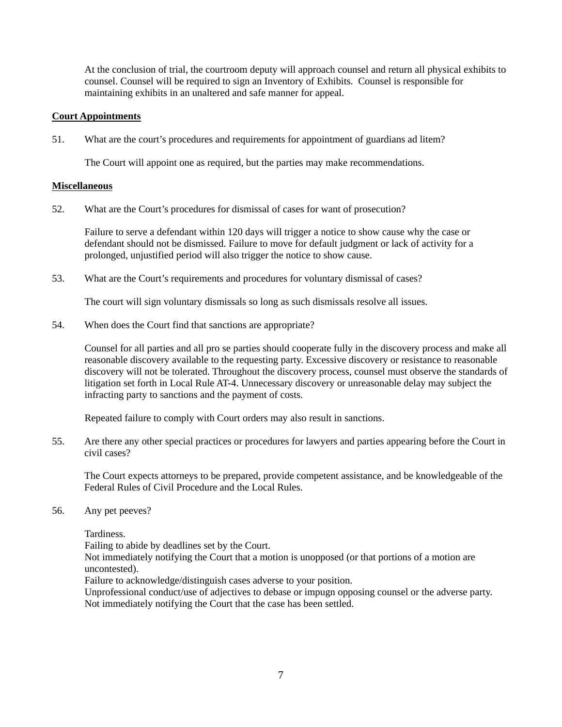At the conclusion of trial, the courtroom deputy will approach counsel and return all physical exhibits to counsel. Counsel will be required to sign an Inventory of Exhibits. Counsel is responsible for maintaining exhibits in an unaltered and safe manner for appeal.

# **Court Appointments**

51. What are the court's procedures and requirements for appointment of guardians ad litem?

The Court will appoint one as required, but the parties may make recommendations.

### **Miscellaneous**

52. What are the Court's procedures for dismissal of cases for want of prosecution?

Failure to serve a defendant within 120 days will trigger a notice to show cause why the case or defendant should not be dismissed. Failure to move for default judgment or lack of activity for a prolonged, unjustified period will also trigger the notice to show cause.

53. What are the Court's requirements and procedures for voluntary dismissal of cases?

The court will sign voluntary dismissals so long as such dismissals resolve all issues.

54. When does the Court find that sanctions are appropriate?

Counsel for all parties and all pro se parties should cooperate fully in the discovery process and make all reasonable discovery available to the requesting party. Excessive discovery or resistance to reasonable discovery will not be tolerated. Throughout the discovery process, counsel must observe the standards of litigation set forth in Local Rule AT-4. Unnecessary discovery or unreasonable delay may subject the infracting party to sanctions and the payment of costs.

Repeated failure to comply with Court orders may also result in sanctions.

55. Are there any other special practices or procedures for lawyers and parties appearing before the Court in civil cases?

The Court expects attorneys to be prepared, provide competent assistance, and be knowledgeable of the Federal Rules of Civil Procedure and the Local Rules.

56. Any pet peeves?

Tardiness.

Failing to abide by deadlines set by the Court.

Not immediately notifying the Court that a motion is unopposed (or that portions of a motion are uncontested).

Failure to acknowledge/distinguish cases adverse to your position.

Unprofessional conduct/use of adjectives to debase or impugn opposing counsel or the adverse party. Not immediately notifying the Court that the case has been settled.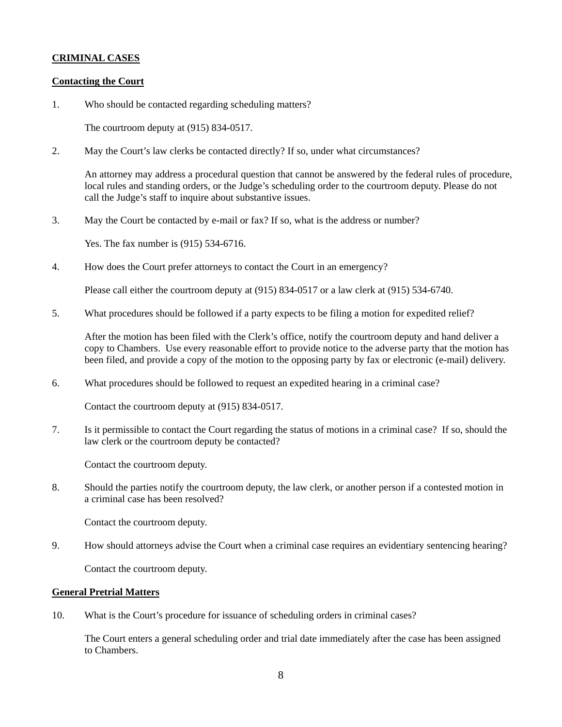# **CRIMINAL CASES**

### **Contacting the Court**

1. Who should be contacted regarding scheduling matters?

The courtroom deputy at (915) 834-0517.

2. May the Court's law clerks be contacted directly? If so, under what circumstances?

An attorney may address a procedural question that cannot be answered by the federal rules of procedure, local rules and standing orders, or the Judge's scheduling order to the courtroom deputy. Please do not call the Judge's staff to inquire about substantive issues.

3. May the Court be contacted by e-mail or fax? If so, what is the address or number?

Yes. The fax number is (915) 534-6716.

4. How does the Court prefer attorneys to contact the Court in an emergency?

Please call either the courtroom deputy at (915) 834-0517 or a law clerk at (915) 534-6740.

5. What procedures should be followed if a party expects to be filing a motion for expedited relief?

After the motion has been filed with the Clerk's office, notify the courtroom deputy and hand deliver a copy to Chambers. Use every reasonable effort to provide notice to the adverse party that the motion has been filed, and provide a copy of the motion to the opposing party by fax or electronic (e-mail) delivery.

6. What procedures should be followed to request an expedited hearing in a criminal case?

Contact the courtroom deputy at (915) 834-0517.

7. Is it permissible to contact the Court regarding the status of motions in a criminal case? If so, should the law clerk or the courtroom deputy be contacted?

Contact the courtroom deputy.

8. Should the parties notify the courtroom deputy, the law clerk, or another person if a contested motion in a criminal case has been resolved?

Contact the courtroom deputy.

9. How should attorneys advise the Court when a criminal case requires an evidentiary sentencing hearing?

Contact the courtroom deputy.

# **General Pretrial Matters**

10. What is the Court's procedure for issuance of scheduling orders in criminal cases?

The Court enters a general scheduling order and trial date immediately after the case has been assigned to Chambers.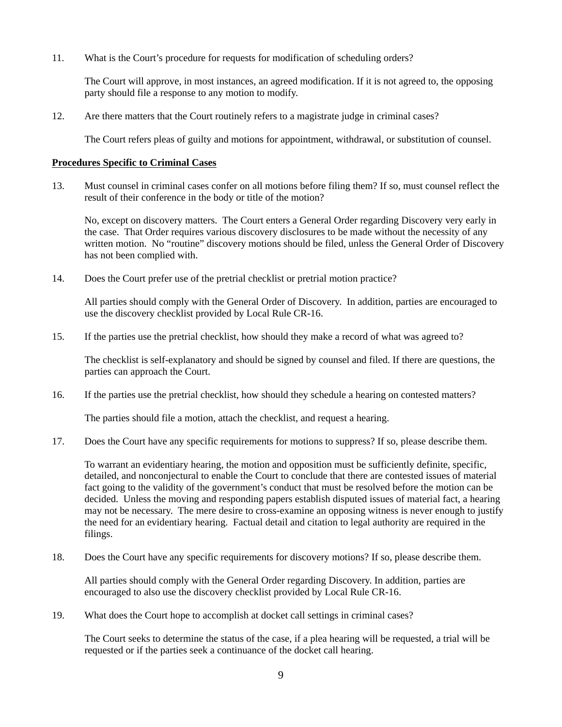11. What is the Court's procedure for requests for modification of scheduling orders?

The Court will approve, in most instances, an agreed modification. If it is not agreed to, the opposing party should file a response to any motion to modify.

12. Are there matters that the Court routinely refers to a magistrate judge in criminal cases?

The Court refers pleas of guilty and motions for appointment, withdrawal, or substitution of counsel.

### **Procedures Specific to Criminal Cases**

13. Must counsel in criminal cases confer on all motions before filing them? If so, must counsel reflect the result of their conference in the body or title of the motion?

No, except on discovery matters. The Court enters a General Order regarding Discovery very early in the case. That Order requires various discovery disclosures to be made without the necessity of any written motion. No "routine" discovery motions should be filed, unless the General Order of Discovery has not been complied with.

14. Does the Court prefer use of the pretrial checklist or pretrial motion practice?

All parties should comply with the General Order of Discovery. In addition, parties are encouraged to use the discovery checklist provided by Local Rule CR-16.

15. If the parties use the pretrial checklist, how should they make a record of what was agreed to?

The checklist is self-explanatory and should be signed by counsel and filed. If there are questions, the parties can approach the Court.

16. If the parties use the pretrial checklist, how should they schedule a hearing on contested matters?

The parties should file a motion, attach the checklist, and request a hearing.

17. Does the Court have any specific requirements for motions to suppress? If so, please describe them.

To warrant an evidentiary hearing, the motion and opposition must be sufficiently definite, specific, detailed, and nonconjectural to enable the Court to conclude that there are contested issues of material fact going to the validity of the government's conduct that must be resolved before the motion can be decided. Unless the moving and responding papers establish disputed issues of material fact, a hearing may not be necessary. The mere desire to cross-examine an opposing witness is never enough to justify the need for an evidentiary hearing. Factual detail and citation to legal authority are required in the filings.

18. Does the Court have any specific requirements for discovery motions? If so, please describe them.

All parties should comply with the General Order regarding Discovery. In addition, parties are encouraged to also use the discovery checklist provided by Local Rule CR-16.

19. What does the Court hope to accomplish at docket call settings in criminal cases?

The Court seeks to determine the status of the case, if a plea hearing will be requested, a trial will be requested or if the parties seek a continuance of the docket call hearing.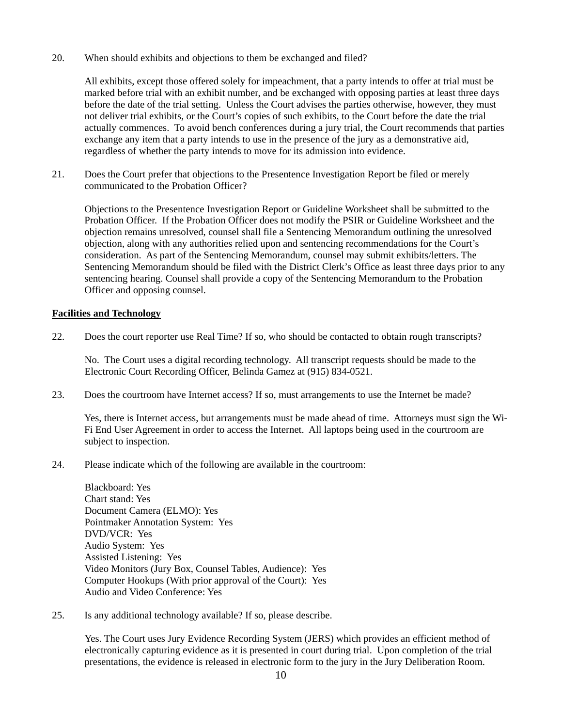20. When should exhibits and objections to them be exchanged and filed?

All exhibits, except those offered solely for impeachment, that a party intends to offer at trial must be marked before trial with an exhibit number, and be exchanged with opposing parties at least three days before the date of the trial setting. Unless the Court advises the parties otherwise, however, they must not deliver trial exhibits, or the Court's copies of such exhibits, to the Court before the date the trial actually commences. To avoid bench conferences during a jury trial, the Court recommends that parties exchange any item that a party intends to use in the presence of the jury as a demonstrative aid, regardless of whether the party intends to move for its admission into evidence.

21. Does the Court prefer that objections to the Presentence Investigation Report be filed or merely communicated to the Probation Officer?

Objections to the Presentence Investigation Report or Guideline Worksheet shall be submitted to the Probation Officer. If the Probation Officer does not modify the PSIR or Guideline Worksheet and the objection remains unresolved, counsel shall file a Sentencing Memorandum outlining the unresolved objection, along with any authorities relied upon and sentencing recommendations for the Court's consideration. As part of the Sentencing Memorandum, counsel may submit exhibits/letters. The Sentencing Memorandum should be filed with the District Clerk's Office as least three days prior to any sentencing hearing. Counsel shall provide a copy of the Sentencing Memorandum to the Probation Officer and opposing counsel.

# **Facilities and Technology**

22. Does the court reporter use Real Time? If so, who should be contacted to obtain rough transcripts?

No. The Court uses a digital recording technology. All transcript requests should be made to the Electronic Court Recording Officer, Belinda Gamez at (915) 834-0521.

23. Does the courtroom have Internet access? If so, must arrangements to use the Internet be made?

Yes, there is Internet access, but arrangements must be made ahead of time. Attorneys must sign the Wi-Fi End User Agreement in order to access the Internet. All laptops being used in the courtroom are subject to inspection.

24. Please indicate which of the following are available in the courtroom:

Blackboard: Yes Chart stand: Yes Document Camera (ELMO): Yes Pointmaker Annotation System: Yes DVD/VCR: Yes Audio System: Yes Assisted Listening: Yes Video Monitors (Jury Box, Counsel Tables, Audience): Yes Computer Hookups (With prior approval of the Court): Yes Audio and Video Conference: Yes

25. Is any additional technology available? If so, please describe.

Yes. The Court uses Jury Evidence Recording System (JERS) which provides an efficient method of electronically capturing evidence as it is presented in court during trial. Upon completion of the trial presentations, the evidence is released in electronic form to the jury in the Jury Deliberation Room.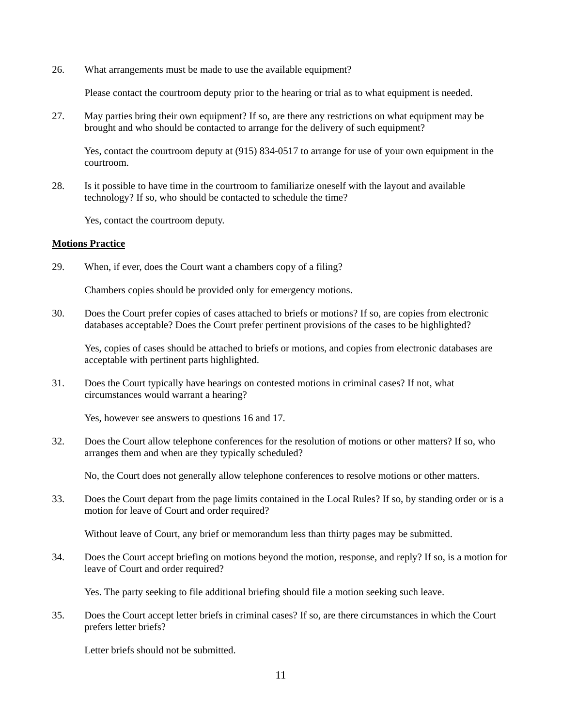26. What arrangements must be made to use the available equipment?

Please contact the courtroom deputy prior to the hearing or trial as to what equipment is needed.

27. May parties bring their own equipment? If so, are there any restrictions on what equipment may be brought and who should be contacted to arrange for the delivery of such equipment?

Yes, contact the courtroom deputy at (915) 834-0517 to arrange for use of your own equipment in the courtroom.

28. Is it possible to have time in the courtroom to familiarize oneself with the layout and available technology? If so, who should be contacted to schedule the time?

Yes, contact the courtroom deputy.

### **Motions Practice**

29. When, if ever, does the Court want a chambers copy of a filing?

Chambers copies should be provided only for emergency motions.

30. Does the Court prefer copies of cases attached to briefs or motions? If so, are copies from electronic databases acceptable? Does the Court prefer pertinent provisions of the cases to be highlighted?

Yes, copies of cases should be attached to briefs or motions, and copies from electronic databases are acceptable with pertinent parts highlighted.

31. Does the Court typically have hearings on contested motions in criminal cases? If not, what circumstances would warrant a hearing?

Yes, however see answers to questions 16 and 17.

32. Does the Court allow telephone conferences for the resolution of motions or other matters? If so, who arranges them and when are they typically scheduled?

No, the Court does not generally allow telephone conferences to resolve motions or other matters.

33. Does the Court depart from the page limits contained in the Local Rules? If so, by standing order or is a motion for leave of Court and order required?

Without leave of Court, any brief or memorandum less than thirty pages may be submitted.

34. Does the Court accept briefing on motions beyond the motion, response, and reply? If so, is a motion for leave of Court and order required?

Yes. The party seeking to file additional briefing should file a motion seeking such leave.

35. Does the Court accept letter briefs in criminal cases? If so, are there circumstances in which the Court prefers letter briefs?

Letter briefs should not be submitted.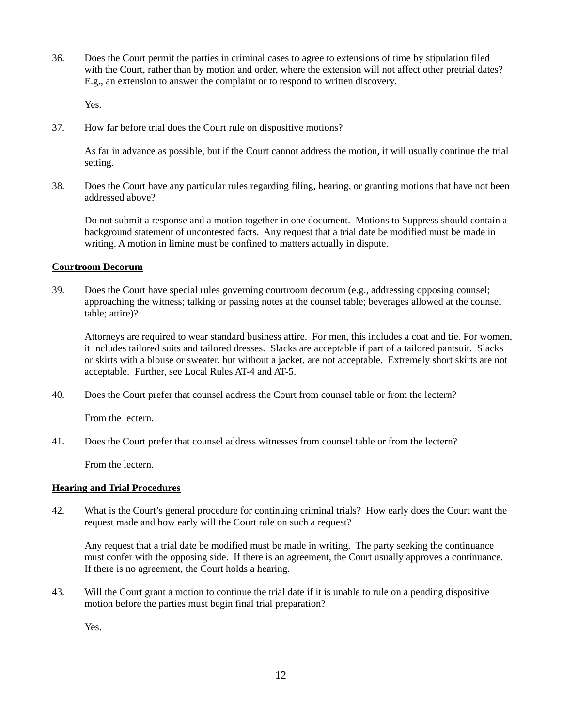36. Does the Court permit the parties in criminal cases to agree to extensions of time by stipulation filed with the Court, rather than by motion and order, where the extension will not affect other pretrial dates? E.g., an extension to answer the complaint or to respond to written discovery.

Yes.

37. How far before trial does the Court rule on dispositive motions?

As far in advance as possible, but if the Court cannot address the motion, it will usually continue the trial setting.

38. Does the Court have any particular rules regarding filing, hearing, or granting motions that have not been addressed above?

Do not submit a response and a motion together in one document. Motions to Suppress should contain a background statement of uncontested facts. Any request that a trial date be modified must be made in writing. A motion in limine must be confined to matters actually in dispute.

# **Courtroom Decorum**

39. Does the Court have special rules governing courtroom decorum (e.g., addressing opposing counsel; approaching the witness; talking or passing notes at the counsel table; beverages allowed at the counsel table; attire)?

Attorneys are required to wear standard business attire. For men, this includes a coat and tie. For women, it includes tailored suits and tailored dresses. Slacks are acceptable if part of a tailored pantsuit. Slacks or skirts with a blouse or sweater, but without a jacket, are not acceptable. Extremely short skirts are not acceptable. Further, see Local Rules AT-4 and AT-5.

40. Does the Court prefer that counsel address the Court from counsel table or from the lectern?

From the lectern.

41. Does the Court prefer that counsel address witnesses from counsel table or from the lectern?

From the lectern.

### **Hearing and Trial Procedures**

42. What is the Court's general procedure for continuing criminal trials? How early does the Court want the request made and how early will the Court rule on such a request?

Any request that a trial date be modified must be made in writing. The party seeking the continuance must confer with the opposing side. If there is an agreement, the Court usually approves a continuance. If there is no agreement, the Court holds a hearing.

43. Will the Court grant a motion to continue the trial date if it is unable to rule on a pending dispositive motion before the parties must begin final trial preparation?

Yes.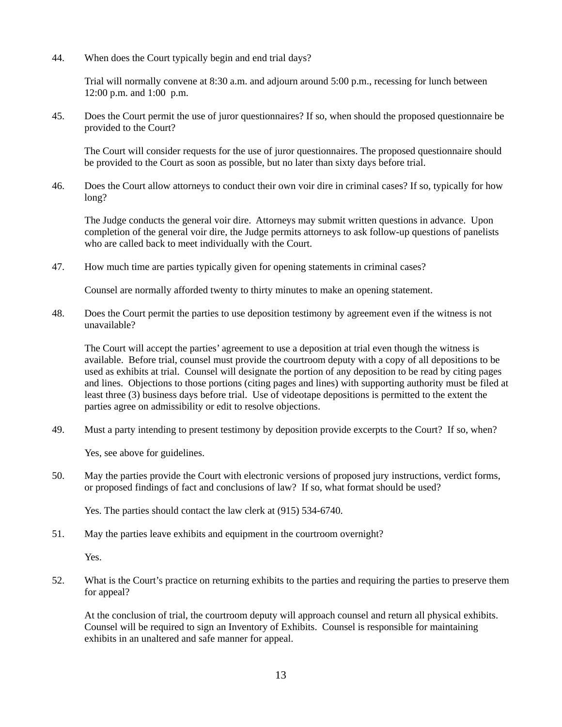44. When does the Court typically begin and end trial days?

Trial will normally convene at 8:30 a.m. and adjourn around 5:00 p.m., recessing for lunch between 12:00 p.m. and 1:00 p.m.

45. Does the Court permit the use of juror questionnaires? If so, when should the proposed questionnaire be provided to the Court?

The Court will consider requests for the use of juror questionnaires. The proposed questionnaire should be provided to the Court as soon as possible, but no later than sixty days before trial.

46. Does the Court allow attorneys to conduct their own voir dire in criminal cases? If so, typically for how long?

The Judge conducts the general voir dire. Attorneys may submit written questions in advance. Upon completion of the general voir dire, the Judge permits attorneys to ask follow-up questions of panelists who are called back to meet individually with the Court.

47. How much time are parties typically given for opening statements in criminal cases?

Counsel are normally afforded twenty to thirty minutes to make an opening statement.

48. Does the Court permit the parties to use deposition testimony by agreement even if the witness is not unavailable?

The Court will accept the parties' agreement to use a deposition at trial even though the witness is available. Before trial, counsel must provide the courtroom deputy with a copy of all depositions to be used as exhibits at trial. Counsel will designate the portion of any deposition to be read by citing pages and lines. Objections to those portions (citing pages and lines) with supporting authority must be filed at least three (3) business days before trial. Use of videotape depositions is permitted to the extent the parties agree on admissibility or edit to resolve objections.

49. Must a party intending to present testimony by deposition provide excerpts to the Court? If so, when?

Yes, see above for guidelines.

50. May the parties provide the Court with electronic versions of proposed jury instructions, verdict forms, or proposed findings of fact and conclusions of law? If so, what format should be used?

Yes. The parties should contact the law clerk at (915) 534-6740.

51. May the parties leave exhibits and equipment in the courtroom overnight?

Yes.

52. What is the Court's practice on returning exhibits to the parties and requiring the parties to preserve them for appeal?

At the conclusion of trial, the courtroom deputy will approach counsel and return all physical exhibits. Counsel will be required to sign an Inventory of Exhibits. Counsel is responsible for maintaining exhibits in an unaltered and safe manner for appeal.